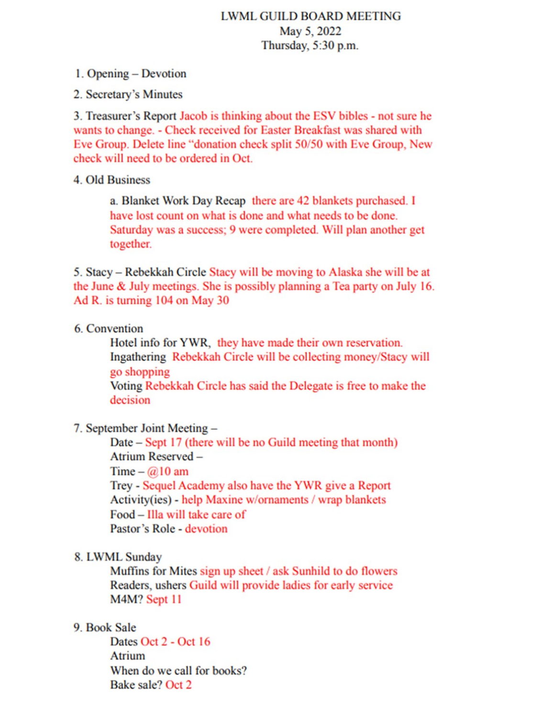# **LWML GUILD BOARD MEETING** May 5, 2022 Thursday, 5:30 p.m.

1. Opening – Devotion

2. Secretary's Minutes

3. Treasurer's Report Jacob is thinking about the ESV bibles - not sure he wants to change. - Check received for Easter Breakfast was shared with Eve Group. Delete line "donation check split 50/50 with Eve Group, New check will need to be ordered in Oct.

4. Old Business

a. Blanket Work Day Recap there are 42 blankets purchased. I have lost count on what is done and what needs to be done. Saturday was a success; 9 were completed. Will plan another get together.

5. Stacy – Rebekkah Circle Stacy will be moving to Alaska she will be at the June & July meetings. She is possibly planning a Tea party on July 16. Ad R. is turning 104 on May 30

## 6. Convention

Hotel info for YWR, they have made their own reservation. Ingathering Rebekkah Circle will be collecting money/Stacy will go shopping Voting Rebekkah Circle has said the Delegate is free to make the

decision

## 7. September Joint Meeting -

Date – Sept 17 (there will be no Guild meeting that month) Atrium Reserved -Time –  $@10$  am Trey - Sequel Academy also have the YWR give a Report Activity(ies) - help Maxine w/ornaments / wrap blankets Food – Illa will take care of Pastor's Role - devotion

## 8. LWML Sunday

Muffins for Mites sign up sheet / ask Sunhild to do flowers Readers, ushers Guild will provide ladies for early service M4M? Sept 11

# 9. Book Sale

Dates Oct 2 - Oct 16 Atrium When do we call for books? Bake sale? Oct 2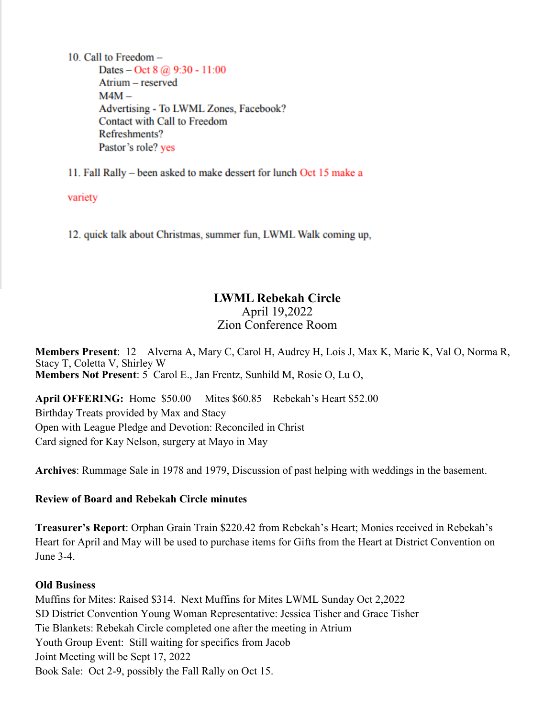10. Call to Freedom  $-$ Dates – Oct 8  $@$  9:30 - 11:00 Atrium - reserved  $M4M -$ Advertising - To LWML Zones, Facebook? Contact with Call to Freedom Refreshments? Pastor's role? yes

11. Fall Rally – been asked to make dessert for lunch Oct 15 make a

variety

12. quick talk about Christmas, summer fun, LWML Walk coming up,

# **LWML Rebekah Circle** April 19,2022 Zion Conference Room

**Members Present**: 12 Alverna A, Mary C, Carol H, Audrey H, Lois J, Max K, Marie K, Val O, Norma R, Stacy T, Coletta V, Shirley W **Members Not Present**: 5 Carol E., Jan Frentz, Sunhild M, Rosie O, Lu O,

**April OFFERING:** Home \$50.00 Mites \$60.85 Rebekah's Heart \$52.00 Birthday Treats provided by Max and Stacy Open with League Pledge and Devotion: Reconciled in Christ Card signed for Kay Nelson, surgery at Mayo in May

**Archives**: Rummage Sale in 1978 and 1979, Discussion of past helping with weddings in the basement.

## **Review of Board and Rebekah Circle minutes**

**Treasurer's Report**: Orphan Grain Train \$220.42 from Rebekah's Heart; Monies received in Rebekah's Heart for April and May will be used to purchase items for Gifts from the Heart at District Convention on June 3-4.

## **Old Business**

Muffins for Mites: Raised \$314. Next Muffins for Mites LWML Sunday Oct 2,2022 SD District Convention Young Woman Representative: Jessica Tisher and Grace Tisher Tie Blankets: Rebekah Circle completed one after the meeting in Atrium Youth Group Event: Still waiting for specifics from Jacob Joint Meeting will be Sept 17, 2022 Book Sale: Oct 2-9, possibly the Fall Rally on Oct 15.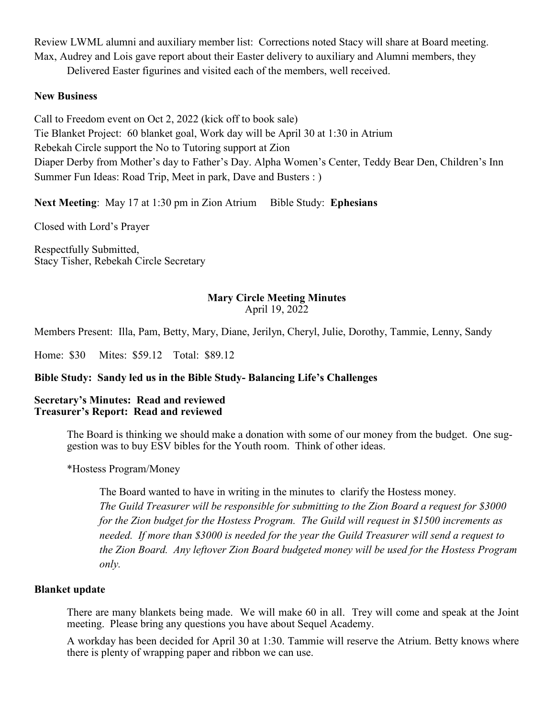Review LWML alumni and auxiliary member list: Corrections noted Stacy will share at Board meeting. Max, Audrey and Lois gave report about their Easter delivery to auxiliary and Alumni members, they

Delivered Easter figurines and visited each of the members, well received.

## **New Business**

Call to Freedom event on Oct 2, 2022 (kick off to book sale) Tie Blanket Project: 60 blanket goal, Work day will be April 30 at 1:30 in Atrium Rebekah Circle support the No to Tutoring support at Zion Diaper Derby from Mother's day to Father's Day. Alpha Women's Center, Teddy Bear Den, Children's Inn Summer Fun Ideas: Road Trip, Meet in park, Dave and Busters : )

**Next Meeting:** May 17 at 1:30 pm in Zion Atrium Bible Study: **Ephesians** 

Closed with Lord's Prayer

Respectfully Submitted, Stacy Tisher, Rebekah Circle Secretary

# **Mary Circle Meeting Minutes**

April 19, 2022

Members Present: Illa, Pam, Betty, Mary, Diane, Jerilyn, Cheryl, Julie, Dorothy, Tammie, Lenny, Sandy

Home: \$30 Mites: \$59.12 Total: \$89.12

## **Bible Study: Sandy led us in the Bible Study- Balancing Life's Challenges**

#### **Secretary's Minutes: Read and reviewed Treasurer's Report: Read and reviewed**

The Board is thinking we should make a donation with some of our money from the budget. One suggestion was to buy ESV bibles for the Youth room. Think of other ideas.

\*Hostess Program/Money

The Board wanted to have in writing in the minutes to clarify the Hostess money. *The Guild Treasurer will be responsible for submitting to the Zion Board a request for \$3000 for the Zion budget for the Hostess Program. The Guild will request in \$1500 increments as needed. If more than \$3000 is needed for the year the Guild Treasurer will send a request to the Zion Board. Any leftover Zion Board budgeted money will be used for the Hostess Program only.* 

#### **Blanket update**

There are many blankets being made. We will make 60 in all. Trey will come and speak at the Joint meeting. Please bring any questions you have about Sequel Academy.

A workday has been decided for April 30 at 1:30. Tammie will reserve the Atrium. Betty knows where there is plenty of wrapping paper and ribbon we can use.